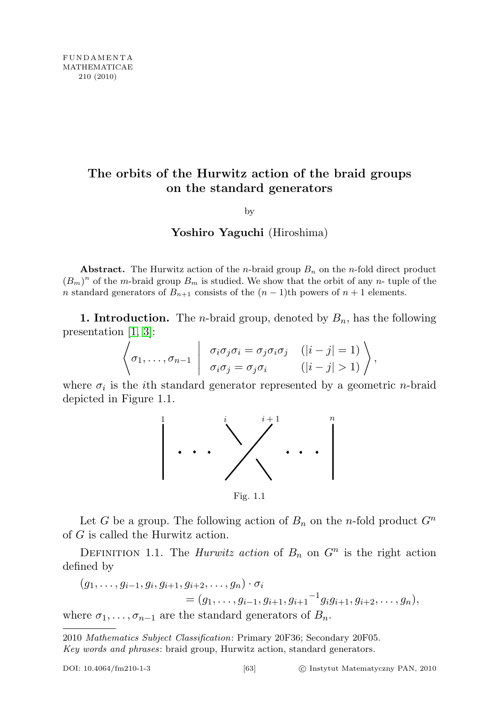## The orbits of the Hurwitz action of the braid groups on the standard generators

by

## Yoshiro Yaguchi (Hiroshima)

Abstract. The Hurwitz action of the *n*-braid group  $B_n$  on the *n*-fold direct product  $(B_m)^n$  of the m-braid group  $B_m$  is studied. We show that the orbit of any n- tuple of the n standard generators of  $B_{n+1}$  consists of the  $(n-1)$ th powers of  $n+1$  elements.

1. Introduction. The *n*-braid group, denoted by  $B_n$ , has the following presentation [\[1,](#page-8-0) [3\]](#page-8-1):

$$
\left\langle \sigma_1,\ldots,\sigma_{n-1} \middle| \begin{array}{c} \sigma_i\sigma_j\sigma_i = \sigma_j\sigma_i\sigma_j & (|i-j|=1) \\ \sigma_i\sigma_j = \sigma_j\sigma_i & (|i-j|>1) \end{array} \right\rangle,
$$

where  $\sigma_i$  is the *i*th standard generator represented by a geometric *n*-braid depicted in Figure 1.1.



Fig. 1.1

Let G be a group. The following action of  $B_n$  on the n-fold product  $G^n$ of G is called the Hurwitz action.

DEFINITION 1.1. The *Hurwitz action* of  $B_n$  on  $G^n$  is the right action defined by

$$
(g_1, \ldots, g_{i-1}, g_i, g_{i+1}, g_{i+2}, \ldots, g_n) \cdot \sigma_i
$$
  
=  $(g_1, \ldots, g_{i-1}, g_{i+1}, g_{i+1}^{-1} g_i g_{i+1}, g_{i+2}, \ldots, g_n),$   
where  $\sigma_1, \ldots, \sigma_{n-1}$  are the standard generators of  $B_n$ .

<sup>2010</sup> Mathematics Subject Classification: Primary 20F36; Secondary 20F05. Key words and phrases: braid group, Hurwitz action, standard generators.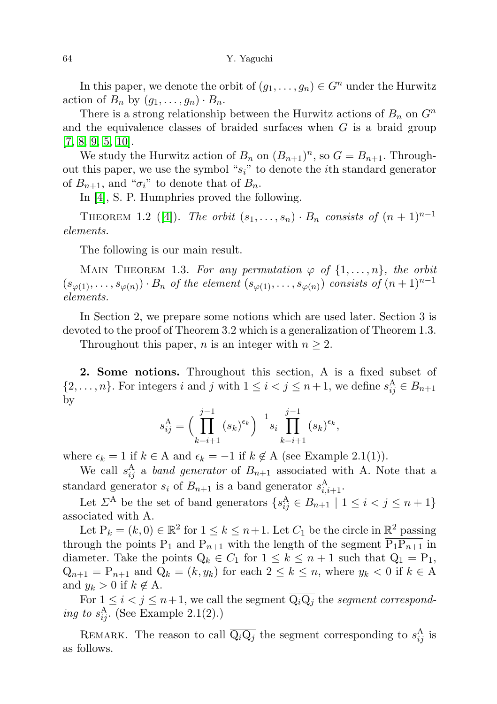In this paper, we denote the orbit of  $(g_1, \ldots, g_n) \in G^n$  under the Hurwitz action of  $B_n$  by  $(g_1, \ldots, g_n) \cdot B_n$ .

There is a strong relationship between the Hurwitz actions of  $B_n$  on  $G^n$ and the equivalence classes of braided surfaces when  $G$  is a braid group  $[7, 8, 9, 5, 10].$  $[7, 8, 9, 5, 10].$  $[7, 8, 9, 5, 10].$  $[7, 8, 9, 5, 10].$  $[7, 8, 9, 5, 10].$  $[7, 8, 9, 5, 10].$ 

We study the Hurwitz action of  $B_n$  on  $(B_{n+1})^n$ , so  $G = B_{n+1}$ . Throughout this paper, we use the symbol " $s_i$ " to denote the *i*th standard generator of  $B_{n+1}$ , and " $\sigma_i$ " to denote that of  $B_n$ .

In [\[4\]](#page-8-7), S. P. Humphries proved the following.

THEOREM 1.2 ([\[4\]](#page-8-7)). The orbit  $(s_1, \ldots, s_n) \cdot B_n$  consists of  $(n + 1)^{n-1}$ elements.

The following is our main result.

MAIN THEOREM 1.3. For any permutation  $\varphi$  of  $\{1, \ldots, n\}$ , the orbit  $(s_{\varphi(1)},\ldots,s_{\varphi(n)})\cdot B_n$  of the element  $(s_{\varphi(1)},\ldots,s_{\varphi(n)})$  consists of  $(n+1)^{n-1}$ elements.

In Section 2, we prepare some notions which are used later. Section 3 is devoted to the proof of Theorem 3.2 which is a generalization of Theorem 1.3.

Throughout this paper, *n* is an integer with  $n \geq 2$ .

2. Some notions. Throughout this section, A is a fixed subset of  $\{2,\ldots,n\}$ . For integers i and j with  $1 \leq i < j \leq n+1$ , we define  $s_{ij}^{\mathbf{A}} \in B_{n+1}$ by

$$
s_{ij}^{\mathcal{A}} = \Big(\prod_{k=i+1}^{j-1} (s_k)^{\epsilon_k}\Big)^{-1} s_i \prod_{k=i+1}^{j-1} (s_k)^{\epsilon_k},
$$

where  $\epsilon_k = 1$  if  $k \in A$  and  $\epsilon_k = -1$  if  $k \notin A$  (see Example 2.1(1)).

We call  $s_{ij}^{\text{A}}$  a band generator of  $B_{n+1}$  associated with A. Note that a standard generator  $s_i$  of  $B_{n+1}$  is a band generator  $s_{i,i+1}^{\text{A}}$ .

Let  $\Sigma^A$  be the set of band generators  $\{s_{ij}^A \in B_{n+1} \mid 1 \le i < j \le n+1\}$ associated with A.

Let  $P_k = (k, 0) \in \mathbb{R}^2$  for  $1 \le k \le n+1$ . Let  $C_1$  be the circle in  $\mathbb{R}^2$  passing through the points P<sub>1</sub> and P<sub>n+1</sub> with the length of the segment  $\overline{P_1P_{n+1}}$  in diameter. Take the points  $Q_k \in C_1$  for  $1 \leq k \leq n+1$  such that  $Q_1 = P_1$ ,  $Q_{n+1} = P_{n+1}$  and  $Q_k = (k, y_k)$  for each  $2 \le k \le n$ , where  $y_k < 0$  if  $k \in A$ and  $y_k > 0$  if  $k \notin A$ .

For  $1 \leq i < j \leq n+1$ , we call the segment  $\overline{Q_iQ_j}$  the segment corresponding to  $s_{ij}^{\text{A}}$ . (See Example 2.1(2).)

REMARK. The reason to call  $\overline{Q_iQ_j}$  the segment corresponding to  $s_{ij}^A$  is as follows.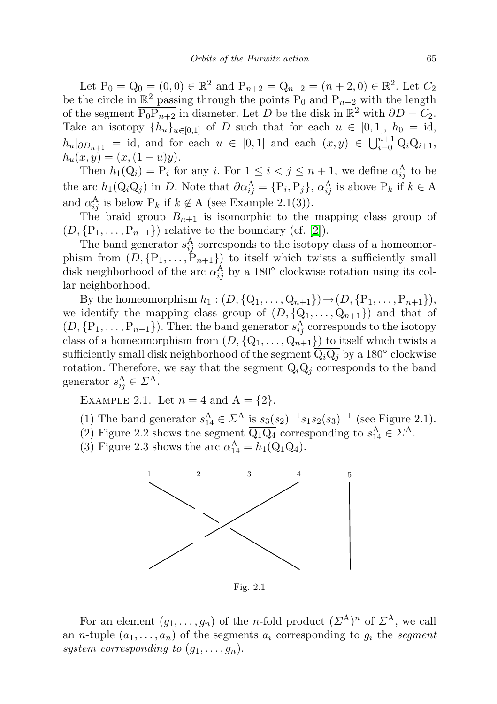Let  $P_0 = Q_0 = (0, 0) \in \mathbb{R}^2$  and  $P_{n+2} = Q_{n+2} = (n+2, 0) \in \mathbb{R}^2$ . Let  $C_2$ be the circle in  $\mathbb{R}^2$  passing through the points  $P_0$  and  $P_{n+2}$  with the length of the segment  $\overline{P_0P_{n+2}}$  in diameter. Let D be the disk in  $\mathbb{R}^2$  with  $\partial D = C_2$ . Take an isotopy  $\{h_u\}_{u\in[0,1]}$  of D such that for each  $u \in [0,1]$ ,  $h_0 = id$ ,  $h_u|_{\partial D_{n+1}} = id$ , and for each  $u \in [0,1]$  and each  $(x, y) \in \bigcup_{i=0}^{n+1} \overline{Q_i Q_{i+1}},$  $h_u(x, y) = (x, (1 - u)y).$ 

Then  $h_1(Q_i) = P_i$  for any i. For  $1 \leq i < j \leq n+1$ , we define  $\alpha_{ij}^{\mathbf{A}}$  to be the arc  $h_1(\overline{Q_iQ_j})$  in D. Note that  $\partial \alpha_{ij}^A = \{P_i, P_j\}, \alpha_{ij}^A$  is above  $P_k$  if  $k \in A$ and  $\alpha_{ij}^{\mathbf{A}}$  is below  $\mathbf{P}_k$  if  $k \notin \mathbf{A}$  (see Example 2.1(3)).

The braid group  $B_{n+1}$  is isomorphic to the mapping class group of  $(D, \{P_1, \ldots, P_{n+1}\})$  relative to the boundary (cf. [\[2\]](#page-8-8)).

The band generator  $s_{ij}^{\text{A}}$  corresponds to the isotopy class of a homeomorphism from  $(D, \{P_1, \ldots, P_{n+1}\})$  to itself which twists a sufficiently small disk neighborhood of the arc  $\alpha_{ij}^{\mathbf{A}}$  by a 180<sup>°</sup> clockwise rotation using its collar neighborhood.

By the homeomorphism  $h_1 : (D, \{Q_1, \ldots, Q_{n+1}\}) \to (D, \{P_1, \ldots, P_{n+1}\}),$ we identify the mapping class group of  $(D, \{Q_1, \ldots, Q_{n+1}\})$  and that of  $(D, \{P_1, \ldots, P_{n+1}\})$ . Then the band generator  $s_{ij}^A$  corresponds to the isotopy class of a homeomorphism from  $(D, \{Q_1, \ldots, Q_{n+1}\})$  to itself which twists a sufficiently small disk neighborhood of the segment  $\overline{\mathrm{Q}_{i}\mathrm{Q}_{j}}$  by a 180° clockwise rotation. Therefore, we say that the segment  $\overline{Q_iQ_j}$  corresponds to the band generator  $s_{ij}^{\text{A}} \in \mathcal{Z}^{\text{A}}$ .

EXAMPLE 2.1. Let  $n = 4$  and  $A = \{2\}$ .

- (1) The band generator  $s_{14}^{\text{A}} \in \mathbb{Z}^{\text{A}}$  is  $s_3(s_2)^{-1} s_1 s_2(s_3)^{-1}$  (see Figure 2.1).
- (2) Figure 2.2 shows the segment  $\overline{Q_1Q_4}$  corresponding to  $s_{14}^A \in \mathbb{Z}^A$ .
- (3) Figure 2.3 shows the arc  $\alpha_{14}^{\text{A}} = h_1(\overline{\text{Q}_1\text{Q}_4})$ .



Fig. 2.1

For an element  $(g_1, \ldots, g_n)$  of the *n*-fold product  $(\Sigma^{\mathcal{A}})^n$  of  $\Sigma^{\mathcal{A}}$ , we call an *n*-tuple  $(a_1, \ldots, a_n)$  of the segments  $a_i$  corresponding to  $g_i$  the segment system corresponding to  $(g_1, \ldots, g_n)$ .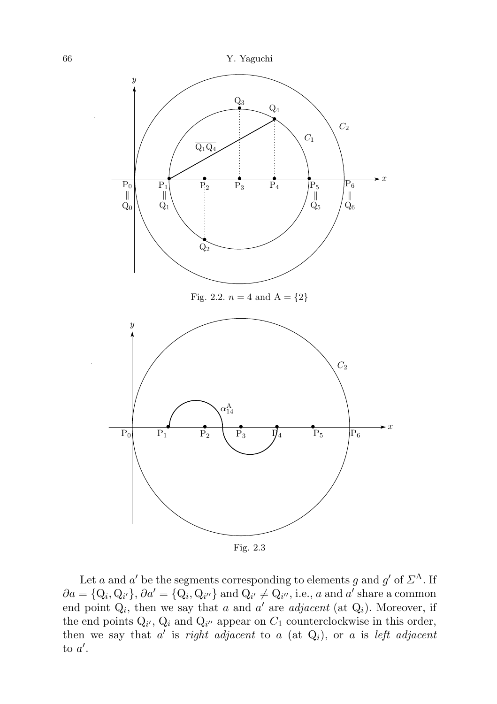

Let a and a' be the segments corresponding to elements g and g' of  $\Sigma^{\mathbf{A}}$ . If  $\partial a = \{Q_i, Q_{i'}\}, \partial a' = \{Q_i, Q_{i''}\}\$ and  $Q_{i'} \neq Q_{i''},$  i.e., a and a' share a common end point  $Q_i$ , then we say that a and a' are adjacent (at  $Q_i$ ). Moreover, if the end points  $Q_{i'}$ ,  $Q_i$  and  $Q_{i''}$  appear on  $C_1$  counterclockwise in this order, then we say that  $a'$  is *right adjacent* to a (at  $Q_i$ ), or a is left adjacent to  $a'$ .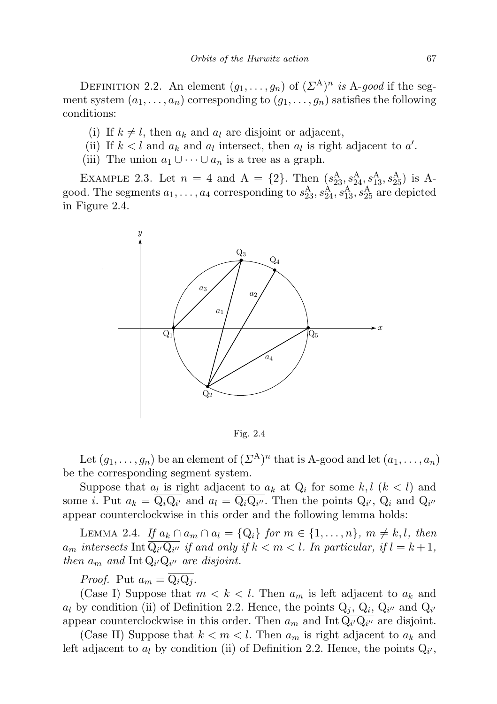DEFINITION 2.2. An element  $(g_1, \ldots, g_n)$  of  $(\Sigma^{\mathcal{A}})^n$  is A-good if the segment system  $(a_1, \ldots, a_n)$  corresponding to  $(g_1, \ldots, g_n)$  satisfies the following conditions:

- (i) If  $k \neq l$ , then  $a_k$  and  $a_l$  are disjoint or adjacent,
- (ii) If  $k < l$  and  $a_k$  and  $a_l$  intersect, then  $a_l$  is right adjacent to  $a'$ .
- (iii) The union  $a_1 \cup \cdots \cup a_n$  is a tree as a graph.

EXAMPLE 2.3. Let  $n = 4$  and  $A = \{2\}$ . Then  $(s_{23}^{A}, s_{24}^{A}, s_{13}^{A}, s_{25}^{A})$  is A good. The segments  $a_1, \ldots, a_4$  corresponding to  $s_{23}^A, s_{24}^A, s_{13}^A, s_{25}^A$  are depicted in Figure 2.4.



Fig. 2.4

Let  $(g_1, \ldots, g_n)$  be an element of  $(\Sigma^A)^n$  that is A-good and let  $(a_1, \ldots, a_n)$ be the corresponding segment system.

Suppose that  $a_l$  is right adjacent to  $a_k$  at  $Q_i$  for some  $k, l \ (k \lt l)$  and some *i*. Put  $a_k = Q_i Q_{i'}$  and  $a_l = Q_i Q_{i''}$ . Then the points  $Q_{i'}$ ,  $Q_i$  and  $Q_{i''}$ appear counterclockwise in this order and the following lemma holds:

LEMMA 2.4. If  $a_k \cap a_m \cap a_l = \{Q_i\}$  for  $m \in \{1, \ldots, n\}$ ,  $m \neq k, l$ , then  $a_m$  intersects  $\text{Int }\overline{\mathrm{Q}_{i'}\mathrm{Q}_{i''}}$  if and only if  $k < m < l$ . In particular, if  $l = k + 1$ , then  $a_m$  and  $\text{Int } Q_{i'} Q_{i''}$  are disjoint.

*Proof.* Put  $a_m = \overline{Q_i Q_i}$ .

(Case I) Suppose that  $m < k < l$ . Then  $a_m$  is left adjacent to  $a_k$  and  $a_l$  by condition (ii) of Definition 2.2. Hence, the points  $Q_j$ ,  $Q_i$ ,  $Q_{i'}$  and  $Q_{i'}$ appear counterclockwise in this order. Then  $a_m$  and Int $\overline{Q_{i'}Q_{i''}}$  are disjoint.

(Case II) Suppose that  $k < m < l$ . Then  $a_m$  is right adjacent to  $a_k$  and left adjacent to  $a_l$  by condition (ii) of Definition 2.2. Hence, the points  $Q_{i'}$ ,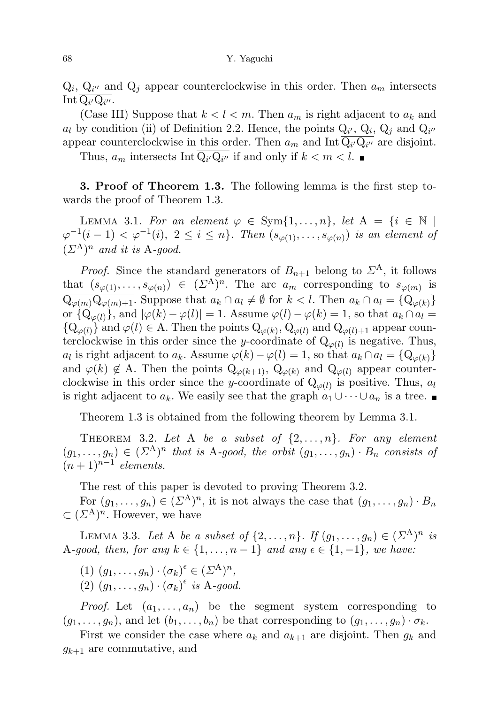## 68 Y. Yaguchi

 $Q_i$ ,  $Q_{i'}$  and  $Q_j$  appear counterclockwise in this order. Then  $a_m$  intersects Int  $Q_{i'}Q_{i''}.$ 

(Case III) Suppose that  $k < l < m$ . Then  $a_m$  is right adjacent to  $a_k$  and  $a_l$  by condition (ii) of Definition 2.2. Hence, the points  $Q_{i'}$ ,  $Q_i$ ,  $Q_j$  and  $Q_{i''}$ appear counterclockwise in this order. Then  $a_m$  and Int  $Q_{i'}Q_{i''}$  are disjoint.

Thus,  $a_m$  intersects Int  $Q_{i'}Q_{i''}$  if and only if  $k < m < l$ .

3. Proof of Theorem 1.3. The following lemma is the first step towards the proof of Theorem 1.3.

LEMMA 3.1. For an element  $\varphi \in \text{Sym}\{1,\ldots,n\}$ , let  $A = \{i \in \mathbb{N} \mid$  $\varphi^{-1}(i-1) < \varphi^{-1}(i), \ 2 \leq i \leq n\}$ . Then  $(s_{\varphi(1)}, \ldots, s_{\varphi(n)})$  is an element of  $(\Sigma^{\mathcal{A}})^n$  and it is A-good.

*Proof.* Since the standard generators of  $B_{n+1}$  belong to  $\Sigma^A$ , it follows that  $(s_{\varphi(1)},\ldots,s_{\varphi(n)}) \in (\Sigma^{\mathcal{A}})^n$ . The arc  $a_m$  corresponding to  $s_{\varphi(m)}$  is  $\overline{\mathcal{Q}_{\varphi(m)}\mathcal{Q}_{\varphi(m)+1}}$ . Suppose that  $a_k \cap a_l \neq \emptyset$  for  $k < l$ . Then  $a_k \cap a_l = \{\mathcal{Q}_{\varphi(k)}\}$ or  $\{Q_{\varphi(l)}\}$ , and  $|\varphi(k) - \varphi(l)| = 1$ . Assume  $\varphi(l) - \varphi(k) = 1$ , so that  $a_k \cap a_l =$  ${Q_{\varphi(l)}}$  and  $\varphi(l) \in A$ . Then the points  $Q_{\varphi(k)}$ ,  $Q_{\varphi(l)}$  and  $Q_{\varphi(l)+1}$  appear counterclockwise in this order since the y-coordinate of  $Q_{\varphi(l)}$  is negative. Thus,  $a_l$  is right adjacent to  $a_k$ . Assume  $\varphi(k)-\varphi(l)=1$ , so that  $a_k \cap a_l = \{Q_{\varphi(k)}\}$ and  $\varphi(k) \notin A$ . Then the points  $Q_{\varphi(k+1)}, Q_{\varphi(k)}$  and  $Q_{\varphi(l)}$  appear counterclockwise in this order since the y-coordinate of  $Q_{\varphi(l)}$  is positive. Thus,  $a_l$ is right adjacent to  $a_k$ . We easily see that the graph  $a_1 \cup \cdots \cup a_n$  is a tree.

Theorem 1.3 is obtained from the following theorem by Lemma 3.1.

THEOREM 3.2. Let A be a subset of  $\{2,\ldots,n\}$ . For any element  $(g_1, \ldots, g_n) \in (\Sigma^{\mathcal{A}})^n$  that is A-good, the orbit  $(g_1, \ldots, g_n) \cdot B_n$  consists of  $(n+1)^{n-1}$  elements.

The rest of this paper is devoted to proving Theorem 3.2.

For  $(g_1, \ldots, g_n) \in (\Sigma^{\mathcal{A}})^n$ , it is not always the case that  $(g_1, \ldots, g_n) \cdot B_n$  $\subset (\Sigma^{\mathcal{A}})^n$ . However, we have

LEMMA 3.3. Let A be a subset of  $\{2, \ldots, n\}$ . If  $(g_1, \ldots, g_n) \in (\Sigma^{\mathcal{A}})^n$  is A-good, then, for any  $k \in \{1, \ldots, n-1\}$  and any  $\epsilon \in \{1, -1\}$ , we have:

- (1)  $(g_1, \ldots, g_n) \cdot (\sigma_k)^\epsilon \in (\Sigma^A)^n$ ,
- (2)  $(g_1, \ldots, g_n) \cdot (\sigma_k)^\epsilon$  is A-good.

*Proof.* Let  $(a_1, \ldots, a_n)$  be the segment system corresponding to  $(g_1, \ldots, g_n)$ , and let  $(b_1, \ldots, b_n)$  be that corresponding to  $(g_1, \ldots, g_n) \cdot \sigma_k$ .

First we consider the case where  $a_k$  and  $a_{k+1}$  are disjoint. Then  $g_k$  and  $g_{k+1}$  are commutative, and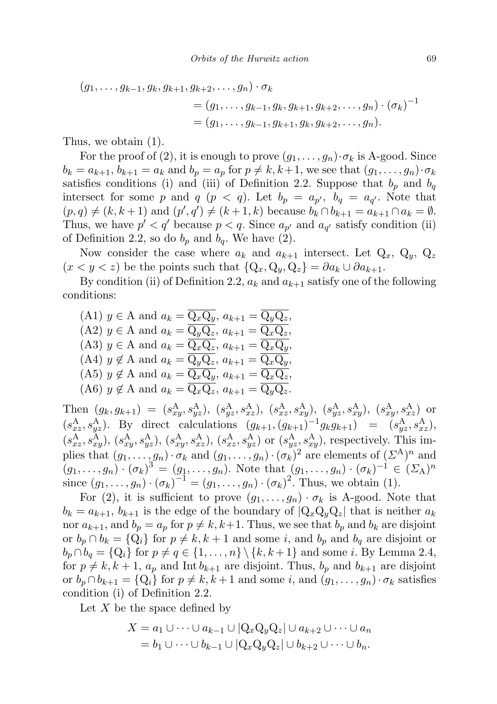$$
(g_1, \ldots, g_{k-1}, g_k, g_{k+1}, g_{k+2}, \ldots, g_n) \cdot \sigma_k
$$
  
=  $(g_1, \ldots, g_{k-1}, g_k, g_{k+1}, g_{k+2}, \ldots, g_n) \cdot (\sigma_k)^{-1}$   
=  $(g_1, \ldots, g_{k-1}, g_{k+1}, g_k, g_{k+2}, \ldots, g_n).$ 

Thus, we obtain (1).

For the proof of (2), it is enough to prove  $(g_1, \ldots, g_n) \cdot \sigma_k$  is A-good. Since  $b_k = a_{k+1}, b_{k+1} = a_k$  and  $b_p = a_p$  for  $p \neq k, k+1$ , we see that  $(g_1, \ldots, g_n) \cdot \sigma_k$ satisfies conditions (i) and (iii) of Definition 2.2. Suppose that  $b_p$  and  $b_q$ intersect for some p and q  $(p < q)$ . Let  $b_p = a_{p'}$ ,  $b_q = a_{q'}$ . Note that  $(p, q) \neq (k, k + 1)$  and  $(p', q') \neq (k + 1, k)$  because  $b_k \cap b_{k+1} = a_{k+1} \cap a_k = \emptyset$ . Thus, we have  $p' < q'$  because  $p < q$ . Since  $a_{p'}$  and  $a_{q'}$  satisfy condition (ii) of Definition 2.2, so do  $b_p$  and  $b_q$ . We have (2).

Now consider the case where  $a_k$  and  $a_{k+1}$  intersect. Let  $Q_x$ ,  $Q_y$ ,  $Q_z$  $(x < y < z)$  be the points such that  $\{Q_x, Q_y, Q_z\} = \partial a_k \cup \partial a_{k+1}.$ 

By condition (ii) of Definition 2.2,  $a_k$  and  $a_{k+1}$  satisfy one of the following conditions:

(A1) 
$$
y \in A
$$
 and  $a_k = \overline{Q_x Q_y}$ ,  $a_{k+1} = \overline{Q_y Q_z}$ ,  
\n(A2)  $y \in A$  and  $a_k = \overline{Q_y Q_z}$ ,  $a_{k+1} = \overline{Q_x Q_z}$ ,  
\n(A3)  $y \in A$  and  $a_k = \overline{Q_x Q_z}$ ,  $a_{k+1} = \overline{Q_x Q_y}$ ,  
\n(A4)  $y \notin A$  and  $a_k = \overline{Q_y Q_z}$ ,  $a_{k+1} = \overline{Q_x Q_y}$ ,  
\n(A5)  $y \notin A$  and  $a_k = \overline{Q_x Q_y}$ ,  $a_{k+1} = \overline{Q_x Q_z}$ ,  
\n(A6)  $y \notin A$  and  $a_k = \overline{Q_x Q_z}$ ,  $a_{k+1} = \overline{Q_y Q_z}$ .

Then  $(g_k, g_{k+1}) = (s_{xy}^{\text{A}}, s_{yz}^{\text{A}}), (s_{yz}^{\text{A}}, s_{xz}^{\text{A}}), (s_{xz}^{\text{A}}, s_{xy}^{\text{A}}), (s_{yz}^{\text{A}}, s_{xy}^{\text{A}}), (s_{xy}^{\text{A}}, s_{xz}^{\text{A}})$  or  $(s_{xz}^{A}, s_{yz}^{A})$ . By direct calculations  $(g_{k+1}, (g_{k+1})^{-1} g_{k} g_{k+1}) = (s_{yz}^{A}, s_{xz}^{A})$ ,  $(s_{xz}^{A}, s_{xy}^{A}), (s_{xy}^{A}, s_{yz}^{A}), (s_{xy}^{A}, s_{xz}^{A}), (s_{xz}^{A}, s_{yy}^{A})$  or  $(s_{yz}^{A}, s_{xy}^{A}),$  respectively. This implies that  $(g_1, \ldots, g_n) \cdot \sigma_k$  and  $(g_1, \ldots, g_n) \cdot (\sigma_k)^2$  are elements of  $(\Sigma^A)^n$  and  $(g_1, ..., g_n) \cdot (\sigma_k)^3 = (g_1, ..., g_n)$ . Note that  $(g_1, ..., g_n) \cdot (\sigma_k)^{-1} \in (\Sigma_A)^n$ since  $(g_1, ..., g_n) \cdot (\sigma_k)^{-1} = (g_1, ..., g_n) \cdot (\sigma_k)^2$ . Thus, we obtain (1).

For (2), it is sufficient to prove  $(g_1, \ldots, g_n) \cdot \sigma_k$  is A-good. Note that  $b_k = a_{k+1}, b_{k+1}$  is the edge of the boundary of  $|Q_x Q_y Q_z|$  that is neither  $a_k$ nor  $a_{k+1}$ , and  $b_p = a_p$  for  $p \neq k, k+1$ . Thus, we see that  $b_p$  and  $b_k$  are disjoint or  $b_p \cap b_k = \{Q_i\}$  for  $p \neq k, k + 1$  and some i, and  $b_p$  and  $b_q$  are disjoint or  $b_p \cap b_q = \{Q_i\}$  for  $p \neq q \in \{1, \ldots, n\} \setminus \{k, k+1\}$  and some i. By Lemma 2.4, for  $p \neq k, k + 1, a_p$  and Int  $b_{k+1}$  are disjoint. Thus,  $b_p$  and  $b_{k+1}$  are disjoint or  $b_p \cap b_{k+1} = \{Q_i\}$  for  $p \neq k, k+1$  and some i, and  $(g_1, \ldots, g_n) \cdot \sigma_k$  satisfies condition (i) of Definition 2.2.

Let  $X$  be the space defined by

$$
X = a_1 \cup \cdots \cup a_{k-1} \cup |Q_x Q_y Q_z| \cup a_{k+2} \cup \cdots \cup a_n
$$
  
=  $b_1 \cup \cdots \cup b_{k-1} \cup |Q_x Q_y Q_z| \cup b_{k+2} \cup \cdots \cup b_n.$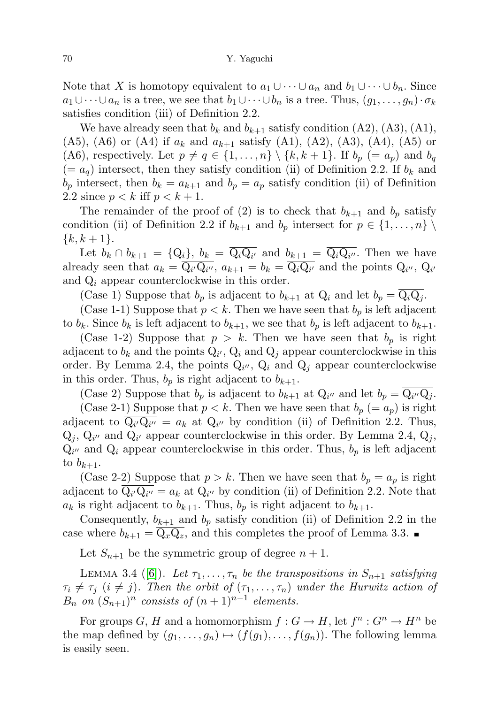Note that X is homotopy equivalent to  $a_1 \cup \cdots \cup a_n$  and  $b_1 \cup \cdots \cup b_n$ . Since  $a_1\cup\cdots\cup a_n$  is a tree, we see that  $b_1\cup\cdots\cup b_n$  is a tree. Thus,  $(g_1,\ldots,g_n)\cdot\sigma_k$ satisfies condition (iii) of Definition 2.2.

We have already seen that  $b_k$  and  $b_{k+1}$  satisfy condition (A2), (A3), (A1), (A5), (A6) or (A4) if  $a_k$  and  $a_{k+1}$  satisfy (A1), (A2), (A3), (A4), (A5) or (A6), respectively. Let  $p \neq q \in \{1, \ldots, n\} \setminus \{k, k + 1\}$ . If  $b_p (= a_p)$  and  $b_q$  $(= a_q)$  intersect, then they satisfy condition (ii) of Definition 2.2. If  $b_k$  and  $b_p$  intersect, then  $b_k = a_{k+1}$  and  $b_p = a_p$  satisfy condition (ii) of Definition 2.2 since  $p < k$  iff  $p < k + 1$ .

The remainder of the proof of (2) is to check that  $b_{k+1}$  and  $b_p$  satisfy condition (ii) of Definition 2.2 if  $b_{k+1}$  and  $b_p$  intersect for  $p \in \{1, \ldots, n\}$  $\{k, k+1\}.$ 

Let  $b_k \cap b_{k+1} = \{Q_i\}, b_k = Q_i Q_{i'}$  and  $b_{k+1} = Q_i Q_{i''}$ . Then we have already seen that  $a_k = Q_{i'}Q_{i''}, a_{k+1} = b_k = Q_iQ_{i'}$  and the points  $Q_{i''}, Q_{i'}$ and  $Q_i$  appear counterclockwise in this order.

(Case 1) Suppose that  $b_p$  is adjacent to  $b_{k+1}$  at  $Q_i$  and let  $b_p = \overline{Q_i Q_j}$ .

(Case 1-1) Suppose that  $p < k$ . Then we have seen that  $b_p$  is left adjacent to  $b_k$ . Since  $b_k$  is left adjacent to  $b_{k+1}$ , we see that  $b_p$  is left adjacent to  $b_{k+1}$ .

(Case 1-2) Suppose that  $p > k$ . Then we have seen that  $b_p$  is right adjacent to  $b_k$  and the points  $Q_{i'}$ ,  $Q_i$  and  $Q_j$  appear counterclockwise in this order. By Lemma 2.4, the points  $Q_{i''}$ ,  $Q_i$  and  $Q_j$  appear counterclockwise in this order. Thus,  $b_p$  is right adjacent to  $b_{k+1}$ .

(Case 2) Suppose that  $b_p$  is adjacent to  $b_{k+1}$  at  $Q_{i''}$  and let  $b_p = Q_{i''}Q_j$ .

(Case 2-1) Suppose that  $p < k$ . Then we have seen that  $b_p (= a_p)$  is right adjacent to  $Q_{i'}Q_{i''} = a_k$  at  $Q_{i''}$  by condition (ii) of Definition 2.2. Thus,  $Q_j$ ,  $Q_{i'}$  and  $Q_{i'}$  appear counterclockwise in this order. By Lemma 2.4,  $Q_j$ ,  $Q_{i''}$  and  $Q_i$  appear counterclockwise in this order. Thus,  $b_p$  is left adjacent to  $b_{k+1}$ .

(Case 2-2) Suppose that  $p > k$ . Then we have seen that  $b_p = a_p$  is right adjacent to  $Q_{i'}Q_{i''}=a_k$  at  $Q_{i''}$  by condition (ii) of Definition 2.2. Note that  $a_k$  is right adjacent to  $b_{k+1}$ . Thus,  $b_p$  is right adjacent to  $b_{k+1}$ .

Consequently,  $b_{k+1}$  and  $b_p$  satisfy condition (ii) of Definition 2.2 in the case where  $b_{k+1} = Q_x Q_z$ , and this completes the proof of Lemma 3.3.

Let  $S_{n+1}$  be the symmetric group of degree  $n+1$ .

LEMMA 3.4 ([\[6\]](#page-8-9)). Let  $\tau_1, \ldots, \tau_n$  be the transpositions in  $S_{n+1}$  satisfying  $\tau_i \neq \tau_j$   $(i \neq j)$ . Then the orbit of  $(\tau_1, \ldots, \tau_n)$  under the Hurwitz action of  $B_n$  on  $(S_{n+1})^n$  consists of  $(n+1)^{n-1}$  elements.

For groups  $G, H$  and a homomorphism  $f: G \to H$ , let  $f^n: G^n \to H^n$  be the map defined by  $(g_1, \ldots, g_n) \mapsto (f(g_1), \ldots, f(g_n))$ . The following lemma is easily seen.